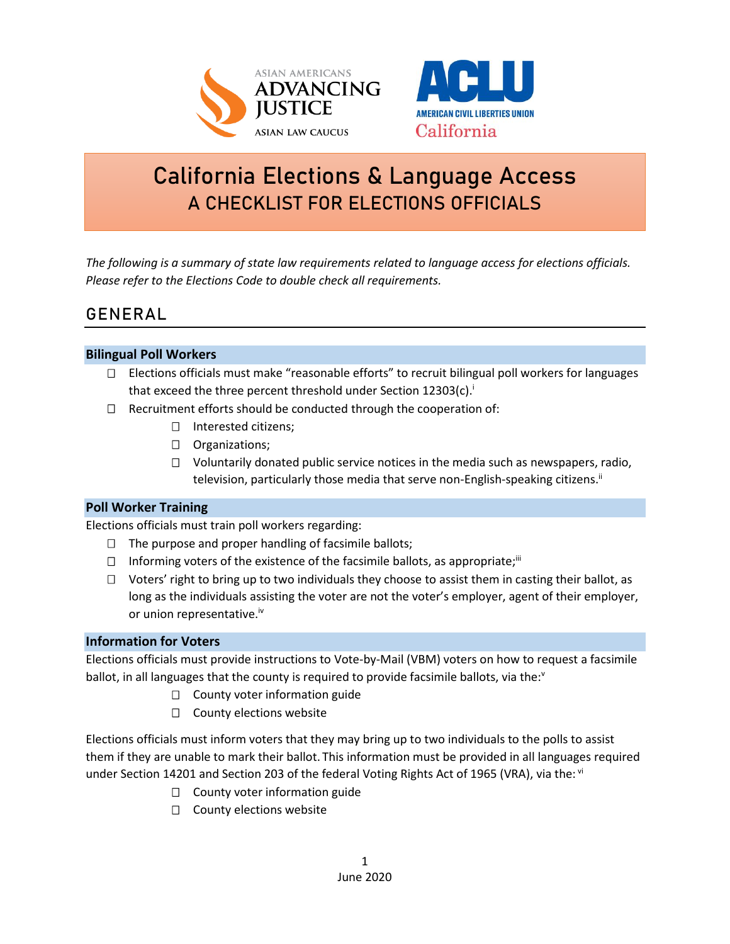



# **California Elections & Language Access A CHECKLIST FOR ELECTIONS OFFICIALS**

*The following is a summary of state law requirements related to language access for elections officials. Please refer to the Elections Code to double check all requirements.*

# **GENERAL**

### **Bilingual Poll Workers**

- □ Elections officials must make "reasonable efforts" to recruit bilingual poll workers for languages that exceed the three percent threshold under Section 12303(c).<sup>i</sup>
- $\Box$  Recruitment efforts should be conducted through the cooperation of:
	- □ Interested citizens;
	- D Organizations;
	- $\Box$  Voluntarily donated public service notices in the media such as newspapers, radio, television, particularly those media that serve non-English-speaking citizens.<sup>ii</sup>

### **Poll Worker Training**

Elections officials must train poll workers regarding:

- $\Box$  The purpose and proper handling of facsimile ballots;
- $\Box$  Informing voters of the existence of the facsimile ballots, as appropriate;<sup>iii</sup>
- $\Box$  Voters' right to bring up to two individuals they choose to assist them in casting their ballot, as long as the individuals assisting the voter are not the voter's employer, agent of their employer, or union representative.<sup>iv</sup>

### **Information for Voters**

Elections officials must provide instructions to Vote-by-Mail (VBM) voters on how to request a facsimile ballot, in all languages that the county is required to provide facsimile ballots, via the: $v$ 

- $\square$  County voter information guide
- $\square$  County elections website

Elections officials must inform voters that they may bring up to two individuals to the polls to assist them if they are unable to mark their ballot. This information must be provided in all languages required under Section 14201 and Section 203 of the federal Voting Rights Act of 1965 (VRA), via the: vi

- $\Box$  County voter information guide
- $\square$  County elections website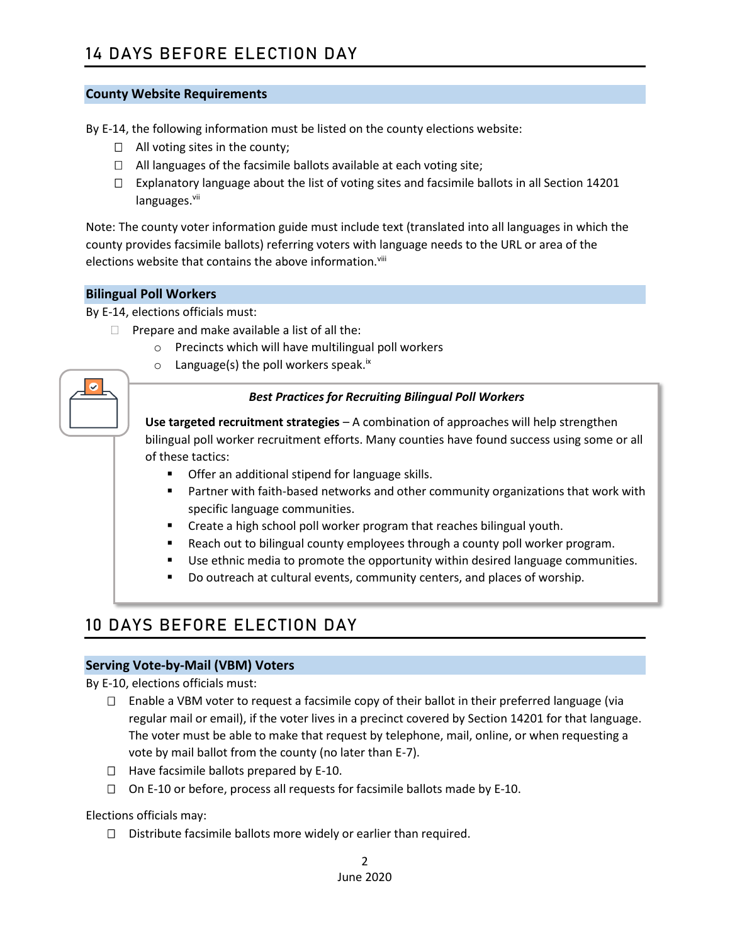### **County Website Requirements**

By E-14, the following information must be listed on the county elections website:

- $\Box$  All voting sites in the county;
- $\Box$  All languages of the facsimile ballots available at each voting site;
- $\Box$  Explanatory language about the list of voting sites and facsimile ballots in all Section 14201 languages.<sup>vii</sup>

Note: The county voter information guide must include text (translated into all languages in which the county provides facsimile ballots) referring voters with language needs to the URL or area of the elections website that contains the above information.<sup>viii</sup>

### **Bilingual Poll Workers**

By E-14, elections officials must:

- $\Box$  Prepare and make available a list of all the:
	- o Precincts which will have multilingual poll workers
	- $\circ$  Language(s) the poll workers speak.<sup>ix</sup>

### *Best Practices for Recruiting Bilingual Poll Workers*

**Use targeted recruitment strategies** – A combination of approaches will help strengthen bilingual poll worker recruitment efforts. Many counties have found success using some or all of these tactics:

- Offer an additional stipend for language skills.
- **■** Partner with faith-based networks and other community organizations that work with specific language communities.
- Create a high school poll worker program that reaches bilingual youth.
- Reach out to bilingual county employees through a county poll worker program.
- Use ethnic media to promote the opportunity within desired language communities.
- Do outreach at cultural events, community centers, and places of worship.

## **10 DAYS BEFORE ELECTION DAY**

#### **Serving Vote-by-Mail (VBM) Voters**

By E-10, elections officials must:

- $\Box$  Enable a VBM voter to request a facsimile copy of their ballot in their preferred language (via regular mail or email), if the voter lives in a precinct covered by Section 14201 for that language. The voter must be able to make that request by telephone, mail, online, or when requesting a vote by mail ballot from the county (no later than E-7).
- $\Box$  Have facsimile ballots prepared by E-10.
- $\Box$  On E-10 or before, process all requests for facsimile ballots made by E-10.

Elections officials may:

 $\Box$  Distribute facsimile ballots more widely or earlier than required.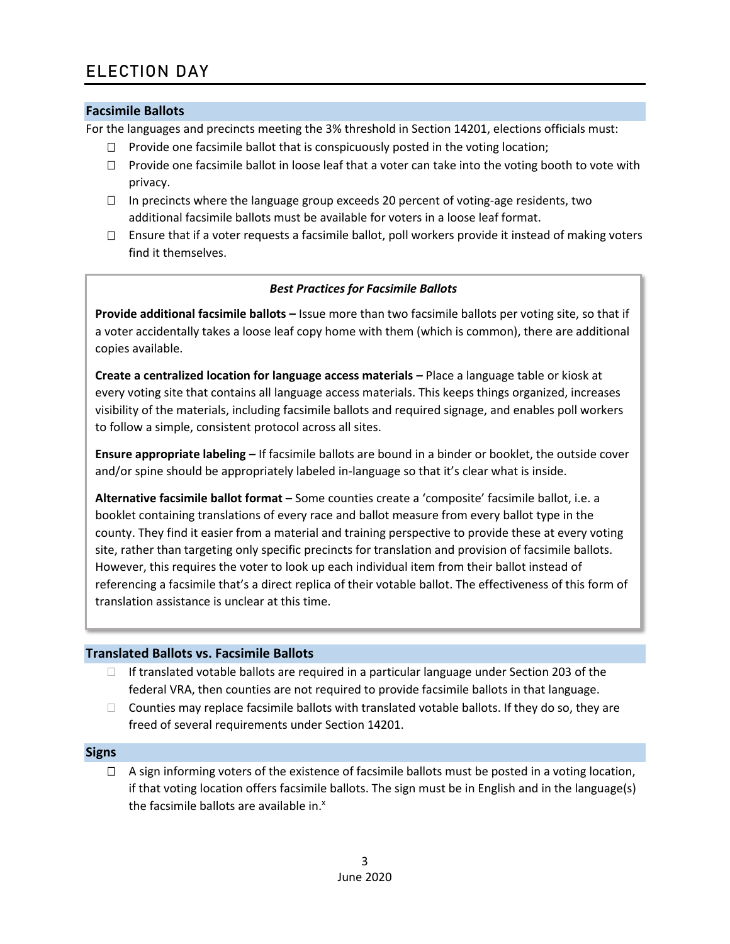### **Facsimile Ballots**

For the languages and precincts meeting the 3% threshold in Section 14201, elections officials must:

- $\Box$  Provide one facsimile ballot that is conspicuously posted in the voting location;
- $\Box$  Provide one facsimile ballot in loose leaf that a voter can take into the voting booth to vote with privacy.
- $\Box$  In precincts where the language group exceeds 20 percent of voting-age residents, two additional facsimile ballots must be available for voters in a loose leaf format.
- $\Box$  Ensure that if a voter requests a facsimile ballot, poll workers provide it instead of making voters find it themselves.

### *Best Practices for Facsimile Ballots*

**Provide additional facsimile ballots –** Issue more than two facsimile ballots per voting site, so that if a voter accidentally takes a loose leaf copy home with them (which is common), there are additional copies available.

**Create a centralized location for language access materials –** Place a language table or kiosk at every voting site that contains all language access materials. This keeps things organized, increases visibility of the materials, including facsimile ballots and required signage, and enables poll workers to follow a simple, consistent protocol across all sites.

**Ensure appropriate labeling –** If facsimile ballots are bound in a binder or booklet, the outside cover and/or spine should be appropriately labeled in-language so that it's clear what is inside.

**Alternative facsimile ballot format –** Some counties create a 'composite' facsimile ballot, i.e. a booklet containing translations of every race and ballot measure from every ballot type in the county. They find it easier from a material and training perspective to provide these at every voting site, rather than targeting only specific precincts for translation and provision of facsimile ballots. However, this requires the voter to look up each individual item from their ballot instead of referencing a facsimile that's a direct replica of their votable ballot. The effectiveness of this form of translation assistance is unclear at this time.

### **Translated Ballots vs. Facsimile Ballots**

- $\Box$  If translated votable ballots are required in a particular language under Section 203 of the federal VRA, then counties are not required to provide facsimile ballots in that language.
- $\Box$  Counties may replace facsimile ballots with translated votable ballots. If they do so, they are freed of several requirements under Section 14201.

#### **Signs**

 $\Box$  A sign informing voters of the existence of facsimile ballots must be posted in a voting location, if that voting location offers facsimile ballots. The sign must be in English and in the language(s) the facsimile ballots are available in. $x$